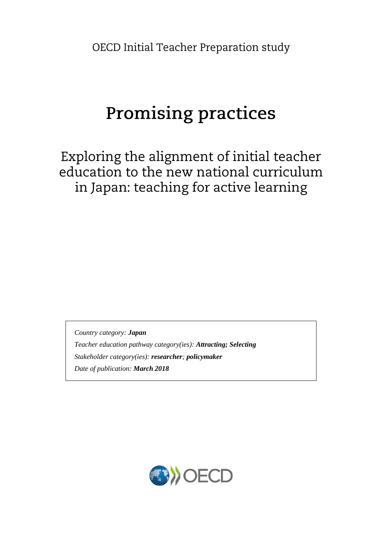OECD Initial Teacher Preparation study

# **Promising practices**

Exploring the alignment of initial teacher education to the new national curriculum in Japan: teaching for active learning

*Country category: Japan Teacher education pathway category(ies): Attracting; Selecting Stakeholder category(ies): researcher; policymaker Date of publication: March 2018*

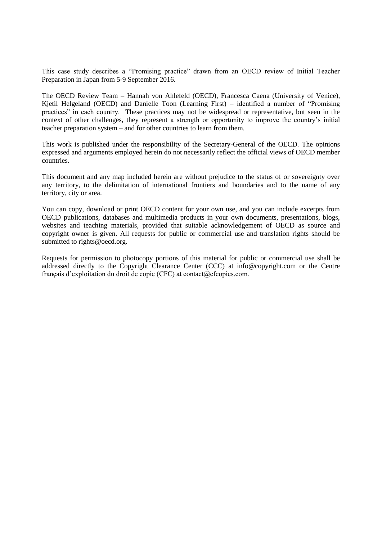This case study describes a "Promising practice" drawn from an OECD review of Initial Teacher Preparation in Japan from 5-9 September 2016.

The OECD Review Team – Hannah von Ahlefeld (OECD), Francesca Caena (University of Venice), Kjetil Helgeland (OECD) and Danielle Toon (Learning First) – identified a number of "Promising practices" in each country. These practices may not be widespread or representative, but seen in the context of other challenges, they represent a strength or opportunity to improve the country's initial teacher preparation system – and for other countries to learn from them.

This work is published under the responsibility of the Secretary-General of the OECD. The opinions expressed and arguments employed herein do not necessarily reflect the official views of OECD member countries.

This document and any map included herein are without prejudice to the status of or sovereignty over any territory, to the delimitation of international frontiers and boundaries and to the name of any territory, city or area.

You can copy, download or print OECD content for your own use, and you can include excerpts from OECD publications, databases and multimedia products in your own documents, presentations, blogs, websites and teaching materials, provided that suitable acknowledgement of OECD as source and copyright owner is given. All requests for public or commercial use and translation rights should be submitted to rights@oecd.org.

Requests for permission to photocopy portions of this material for public or commercial use shall be addressed directly to the Copyright Clearance Center (CCC) at info@copyright.com or the Centre français d'exploitation du droit de copie (CFC) at contact@cfcopies.com.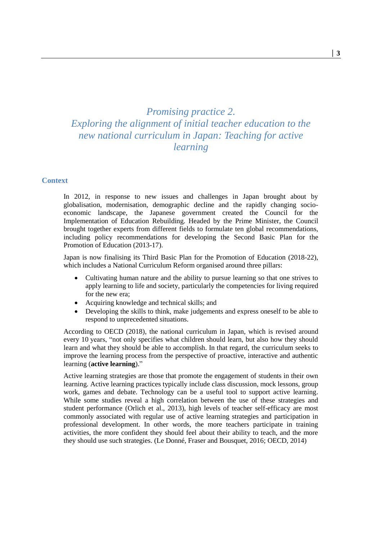# *Promising practice 2. Exploring the alignment of initial teacher education to the new national curriculum in Japan: Teaching for active learning*

## **Context**

In 2012, in response to new issues and challenges in Japan brought about by globalisation, modernisation, demographic decline and the rapidly changing socioeconomic landscape, the Japanese government created the Council for the Implementation of Education Rebuilding. Headed by the Prime Minister, the Council brought together experts from different fields to formulate ten global recommendations, including policy recommendations for developing the Second Basic Plan for the Promotion of Education (2013-17).

Japan is now finalising its Third Basic Plan for the Promotion of Education (2018-22), which includes a National Curriculum Reform organised around three pillars:

- Cultivating human nature and the ability to pursue learning so that one strives to apply learning to life and society, particularly the competencies for living required for the new era;
- Acquiring knowledge and technical skills; and
- Developing the skills to think, make judgements and express oneself to be able to respond to unprecedented situations.

According to OECD (2018), the national curriculum in Japan, which is revised around every 10 years, "not only specifies what children should learn, but also how they should learn and what they should be able to accomplish. In that regard, the curriculum seeks to improve the learning process from the perspective of proactive, interactive and authentic learning (**active learning**)."

Active learning strategies are those that promote the engagement of students in their own learning. Active learning practices typically include class discussion, mock lessons, group work, games and debate. Technology can be a useful tool to support active learning. While some studies reveal a high correlation between the use of these strategies and student performance (Orlich et al., 2013), high levels of teacher self-efficacy are most commonly associated with regular use of active learning strategies and participation in professional development. In other words, the more teachers participate in training activities, the more confident they should feel about their ability to teach, and the more they should use such strategies. (Le Donné, Fraser and Bousquet, 2016; OECD, 2014)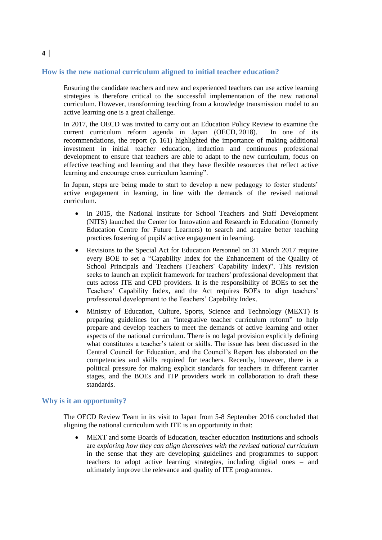### **How is the new national curriculum aligned to initial teacher education?**

Ensuring the candidate teachers and new and experienced teachers can use active learning strategies is therefore critical to the successful implementation of the new national curriculum. However, transforming teaching from a knowledge transmission model to an active learning one is a great challenge.

In 2017, the OECD was invited to carry out an Education Policy Review to examine the current curriculum reform agenda in Japan (OECD, 2018). In one of its recommendations, the report (p. 161) highlighted the importance of making additional investment in initial teacher education, induction and continuous professional development to ensure that teachers are able to adapt to the new curriculum, focus on effective teaching and learning and that they have flexible resources that reflect active learning and encourage cross curriculum learning".

In Japan, steps are being made to start to develop a new pedagogy to foster students' active engagement in learning, in line with the demands of the revised national curriculum.

- In 2015, the National Institute for School Teachers and Staff Development (NITS) launched the Center for Innovation and Research in Education (formerly Education Centre for Future Learners) to search and acquire better teaching practices fostering of pupils' active engagement in learning.
- Revisions to the Special Act for Education Personnel on 31 March 2017 require every BOE to set a "Capability Index for the Enhancement of the Quality of School Principals and Teachers (Teachers' Capability Index)". This revision seeks to launch an explicit framework for teachers' professional development that cuts across ITE and CPD providers. It is the responsibility of BOEs to set the Teachers' Capability Index, and the Act requires BOEs to align teachers' professional development to the Teachers' Capability Index.
- Ministry of Education, Culture, Sports, Science and Technology (MEXT) is preparing guidelines for an "integrative teacher curriculum reform" to help prepare and develop teachers to meet the demands of active learning and other aspects of the national curriculum. There is no legal provision explicitly defining what constitutes a teacher's talent or skills. The issue has been discussed in the Central Council for Education, and the Council's Report has elaborated on the competencies and skills required for teachers. Recently, however, there is a political pressure for making explicit standards for teachers in different carrier stages, and the BOEs and ITP providers work in collaboration to draft these standards.

#### **Why is it an opportunity?**

The OECD Review Team in its visit to Japan from 5-8 September 2016 concluded that aligning the national curriculum with ITE is an opportunity in that:

 MEXT and some Boards of Education, teacher education institutions and schools are *exploring how they can align themselves with the revised national curriculum* in the sense that they are developing guidelines and programmes to support teachers to adopt active learning strategies, including digital ones – and ultimately improve the relevance and quality of ITE programmes.